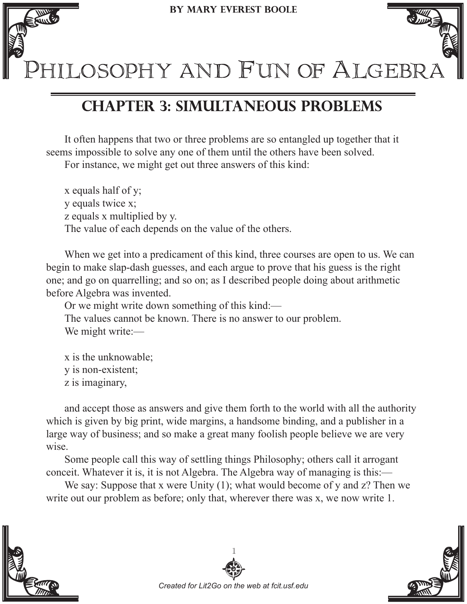**BY MARY EVEREST BOOLE** 



ILOSOPHY AND FUN OF ALGEBR

## **CHAPTER 3: SIMULTANEOUS PROBLEMS**

It often happens that two or three problems are so entangled up together that it seems impossible to solve any one of them until the others have been solved.

For instance, we might get out three answers of this kind:

x equals half of y; y equals twice x; z equals x multiplied by y. The value of each depends on the value of the others.

When we get into a predicament of this kind, three courses are open to us. We can begin to make slap-dash guesses, and each argue to prove that his guess is the right one; and go on quarrelling; and so on; as I described people doing about arithmetic before Algebra was invented.

Or we might write down something of this kind:—

The values cannot be known. There is no answer to our problem. We might write:-

x is the unknowable; y is non-existent; z is imaginary,

and accept those as answers and give them forth to the world with all the authority which is given by big print, wide margins, a handsome binding, and a publisher in a large way of business; and so make a great many foolish people believe we are very wise.

Some people call this way of settling things Philosophy; others call it arrogant conceit. Whatever it is, it is not Algebra. The Algebra way of managing is this:—

We say: Suppose that x were Unity (1); what would become of y and z? Then we write out our problem as before; only that, wherever there was x, we now write 1.